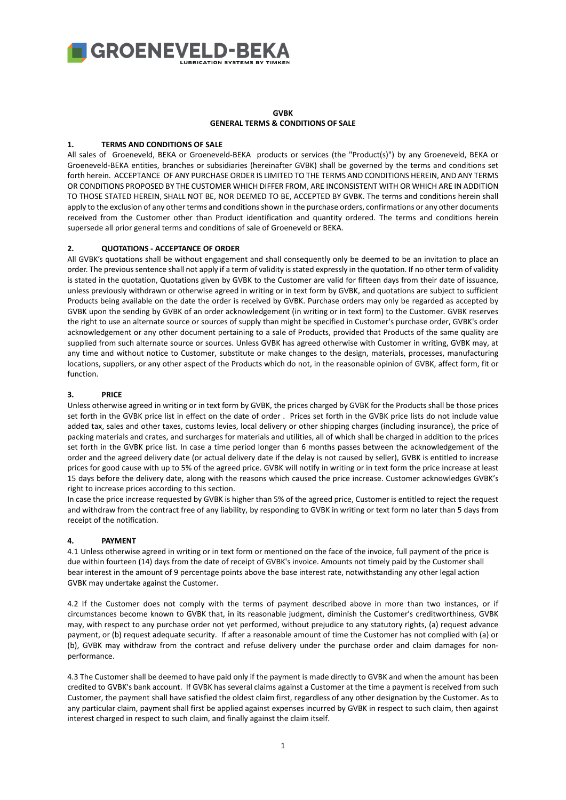

# **GVBK GENERAL TERMS & CONDITIONS OF SALE**

# **1. TERMS AND CONDITIONS OF SALE**

All sales of Groeneveld, BEKA or Groeneveld-BEKA products or services (the "Product(s)") by any Groeneveld, BEKA or Groeneveld-BEKA entities, branches or subsidiaries (hereinafter GVBK) shall be governed by the terms and conditions set forth herein. ACCEPTANCE OF ANY PURCHASE ORDER IS LIMITED TO THE TERMS AND CONDITIONS HEREIN, AND ANY TERMS OR CONDITIONS PROPOSED BY THE CUSTOMER WHICH DIFFER FROM, ARE INCONSISTENT WITH OR WHICH ARE IN ADDITION TO THOSE STATED HEREIN, SHALL NOT BE, NOR DEEMED TO BE, ACCEPTED BY GVBK. The terms and conditions herein shall apply to the exclusion of any other terms and conditions shown in the purchase orders, confirmations or any other documents received from the Customer other than Product identification and quantity ordered. The terms and conditions herein supersede all prior general terms and conditions of sale of Groeneveld or BEKA.

# **2. QUOTATIONS - ACCEPTANCE OF ORDER**

All GVBK's quotations shall be without engagement and shall consequently only be deemed to be an invitation to place an order. The previous sentence shall not apply if a term of validity is stated expressly in the quotation. If no other term of validity is stated in the quotation, Quotations given by GVBK to the Customer are valid for fifteen days from their date of issuance, unless previously withdrawn or otherwise agreed in writing or in text form by GVBK, and quotations are subject to sufficient Products being available on the date the order is received by GVBK. Purchase orders may only be regarded as accepted by GVBK upon the sending by GVBK of an order acknowledgement (in writing or in text form) to the Customer. GVBK reserves the right to use an alternate source or sources of supply than might be specified in Customer's purchase order, GVBK's order acknowledgement or any other document pertaining to a sale of Products, provided that Products of the same quality are supplied from such alternate source or sources. Unless GVBK has agreed otherwise with Customer in writing, GVBK may, at any time and without notice to Customer, substitute or make changes to the design, materials, processes, manufacturing locations, suppliers, or any other aspect of the Products which do not, in the reasonable opinion of GVBK, affect form, fit or function.

# **3. PRICE**

Unless otherwise agreed in writing or in text form by GVBK, the prices charged by GVBK for the Products shall be those prices set forth in the GVBK price list in effect on the date of order . Prices set forth in the GVBK price lists do not include value added tax, sales and other taxes, customs levies, local delivery or other shipping charges (including insurance), the price of packing materials and crates, and surcharges for materials and utilities, all of which shall be charged in addition to the prices set forth in the GVBK price list. In case a time period longer than 6 months passes between the acknowledgement of the order and the agreed delivery date (or actual delivery date if the delay is not caused by seller), GVBK is entitled to increase prices for good cause with up to 5% of the agreed price. GVBK will notify in writing or in text form the price increase at least 15 days before the delivery date, along with the reasons which caused the price increase. Customer acknowledges GVBK's right to increase prices according to this section.

In case the price increase requested by GVBK is higher than 5% of the agreed price, Customer is entitled to reject the request and withdraw from the contract free of any liability, by responding to GVBK in writing or text form no later than 5 days from receipt of the notification.

# **4. PAYMENT**

4.1 Unless otherwise agreed in writing or in text form or mentioned on the face of the invoice, full payment of the price is due within fourteen (14) days from the date of receipt of GVBK's invoice. Amounts not timely paid by the Customer shall bear interest in the amount of 9 percentage points above the base interest rate, notwithstanding any other legal action GVBK may undertake against the Customer.

4.2 If the Customer does not comply with the terms of payment described above in more than two instances, or if circumstances become known to GVBK that, in its reasonable judgment, diminish the Customer's creditworthiness, GVBK may, with respect to any purchase order not yet performed, without prejudice to any statutory rights, (a) request advance payment, or (b) request adequate security. If after a reasonable amount of time the Customer has not complied with (a) or (b), GVBK may withdraw from the contract and refuse delivery under the purchase order and claim damages for nonperformance.

4.3 The Customer shall be deemed to have paid only if the payment is made directly to GVBK and when the amount has been credited to GVBK's bank account. If GVBK has several claims against a Customer at the time a payment is received from such Customer, the payment shall have satisfied the oldest claim first, regardless of any other designation by the Customer. As to any particular claim, payment shall first be applied against expenses incurred by GVBK in respect to such claim, then against interest charged in respect to such claim, and finally against the claim itself.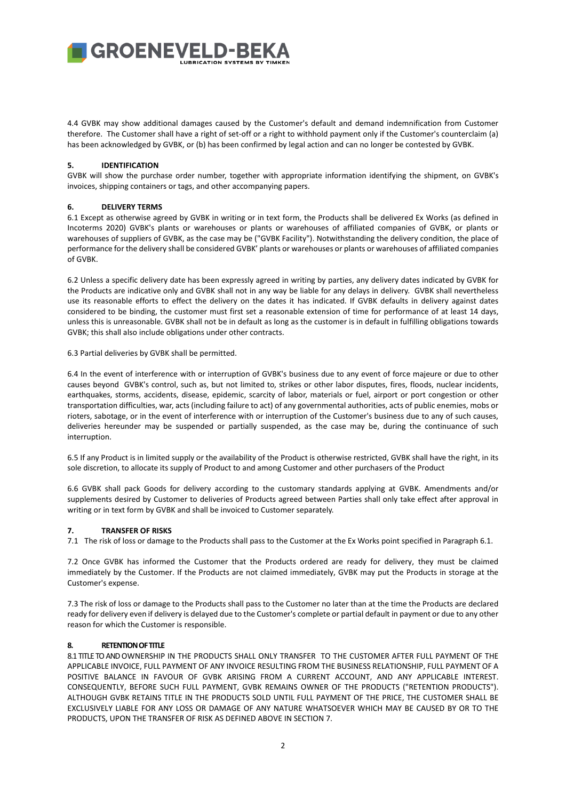**GROENEVELD-BE** 

4.4 GVBK may show additional damages caused by the Customer's default and demand indemnification from Customer therefore. The Customer shall have a right of set-off or a right to withhold payment only if the Customer's counterclaim (a) has been acknowledged by GVBK, or (b) has been confirmed by legal action and can no longer be contested by GVBK.

## **5. IDENTIFICATION**

GVBK will show the purchase order number, together with appropriate information identifying the shipment, on GVBK's invoices, shipping containers or tags, and other accompanying papers.

# **6. DELIVERY TERMS**

6.1 Except as otherwise agreed by GVBK in writing or in text form, the Products shall be delivered Ex Works (as defined in Incoterms 2020) GVBK's plants or warehouses or plants or warehouses of affiliated companies of GVBK, or plants or warehouses of suppliers of GVBK, as the case may be ("GVBK Facility"). Notwithstanding the delivery condition, the place of performance for the delivery shall be considered GVBK' plants or warehouses or plants or warehouses of affiliated companies of GVBK.

6.2 Unless a specific delivery date has been expressly agreed in writing by parties, any delivery dates indicated by GVBK for the Products are indicative only and GVBK shall not in any way be liable for any delays in delivery. GVBK shall nevertheless use its reasonable efforts to effect the delivery on the dates it has indicated. If GVBK defaults in delivery against dates considered to be binding, the customer must first set a reasonable extension of time for performance of at least 14 days, unless this is unreasonable. GVBK shall not be in default as long as the customer is in default in fulfilling obligations towards GVBK; this shall also include obligations under other contracts.

6.3 Partial deliveries by GVBK shall be permitted.

6.4 In the event of interference with or interruption of GVBK's business due to any event of force majeure or due to other causes beyond GVBK's control, such as, but not limited to, strikes or other labor disputes, fires, floods, nuclear incidents, earthquakes, storms, accidents, disease, epidemic, scarcity of labor, materials or fuel, airport or port congestion or other transportation difficulties, war, acts (including failure to act) of any governmental authorities, acts of public enemies, mobs or rioters, sabotage, or in the event of interference with or interruption of the Customer's business due to any of such causes, deliveries hereunder may be suspended or partially suspended, as the case may be, during the continuance of such interruption.

6.5 If any Product is in limited supply or the availability of the Product is otherwise restricted, GVBK shall have the right, in its sole discretion, to allocate its supply of Product to and among Customer and other purchasers of the Product

6.6 GVBK shall pack Goods for delivery according to the customary standards applying at GVBK. Amendments and/or supplements desired by Customer to deliveries of Products agreed between Parties shall only take effect after approval in writing or in text form by GVBK and shall be invoiced to Customer separately.

# **7. TRANSFER OF RISKS**

7.1 The risk of loss or damage to the Products shall pass to the Customer at the Ex Works point specified in Paragraph 6.1.

7.2 Once GVBK has informed the Customer that the Products ordered are ready for delivery, they must be claimed immediately by the Customer. If the Products are not claimed immediately, GVBK may put the Products in storage at the Customer's expense.

7.3 The risk of loss or damage to the Products shall pass to the Customer no later than at the time the Products are declared ready for delivery even if delivery is delayed due to the Customer's complete or partial default in payment or due to any other reason for which the Customer is responsible.

# **8. RETENTION OF TITLE**

8.1 TITLE TO AND OWNERSHIP IN THE PRODUCTS SHALL ONLY TRANSFER TO THE CUSTOMER AFTER FULL PAYMENT OF THE APPLICABLE INVOICE, FULL PAYMENT OF ANY INVOICE RESULTING FROM THE BUSINESS RELATIONSHIP, FULL PAYMENT OF A POSITIVE BALANCE IN FAVOUR OF GVBK ARISING FROM A CURRENT ACCOUNT, AND ANY APPLICABLE INTEREST. CONSEQUENTLY, BEFORE SUCH FULL PAYMENT, GVBK REMAINS OWNER OF THE PRODUCTS ("RETENTION PRODUCTS"). ALTHOUGH GVBK RETAINS TITLE IN THE PRODUCTS SOLD UNTIL FULL PAYMENT OF THE PRICE, THE CUSTOMER SHALL BE EXCLUSIVELY LIABLE FOR ANY LOSS OR DAMAGE OF ANY NATURE WHATSOEVER WHICH MAY BE CAUSED BY OR TO THE PRODUCTS, UPON THE TRANSFER OF RISK AS DEFINED ABOVE IN SECTION 7.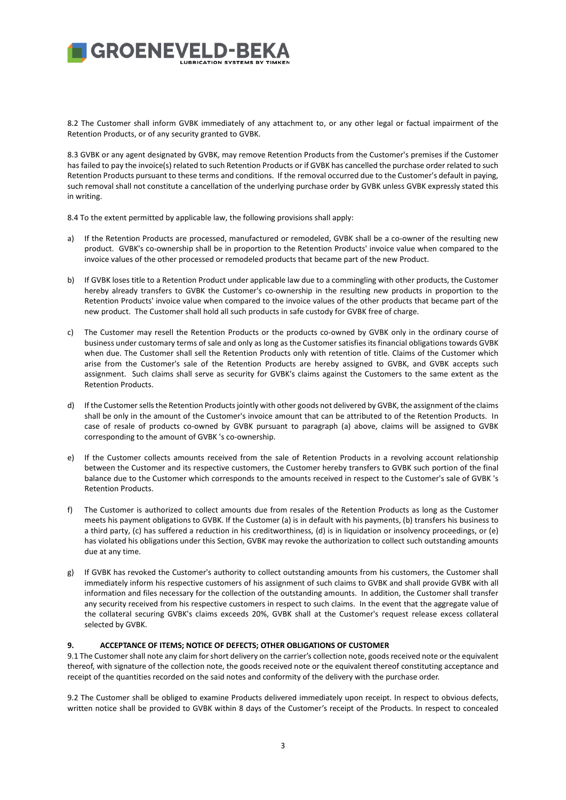# **I GROENEVELD-BE**

8.2 The Customer shall inform GVBK immediately of any attachment to, or any other legal or factual impairment of the Retention Products, or of any security granted to GVBK.

8.3 GVBK or any agent designated by GVBK, may remove Retention Products from the Customer's premises if the Customer has failed to pay the invoice(s) related to such Retention Products or if GVBK has cancelled the purchase order related to such Retention Products pursuant to these terms and conditions. If the removal occurred due to the Customer's default in paying, such removal shall not constitute a cancellation of the underlying purchase order by GVBK unless GVBK expressly stated this in writing.

8.4 To the extent permitted by applicable law, the following provisions shall apply:

- a) If the Retention Products are processed, manufactured or remodeled, GVBK shall be a co-owner of the resulting new product. GVBK's co-ownership shall be in proportion to the Retention Products' invoice value when compared to the invoice values of the other processed or remodeled products that became part of the new Product.
- b) If GVBK loses title to a Retention Product under applicable law due to a commingling with other products, the Customer hereby already transfers to GVBK the Customer's co-ownership in the resulting new products in proportion to the Retention Products' invoice value when compared to the invoice values of the other products that became part of the new product. The Customer shall hold all such products in safe custody for GVBK free of charge.
- c) The Customer may resell the Retention Products or the products co-owned by GVBK only in the ordinary course of business under customary terms of sale and only as long as the Customer satisfies its financial obligations towards GVBK when due. The Customer shall sell the Retention Products only with retention of title. Claims of the Customer which arise from the Customer's sale of the Retention Products are hereby assigned to GVBK, and GVBK accepts such assignment. Such claims shall serve as security for GVBK's claims against the Customers to the same extent as the Retention Products.
- d) If the Customer sells the Retention Products jointly with other goods not delivered by GVBK, the assignment of the claims shall be only in the amount of the Customer's invoice amount that can be attributed to of the Retention Products. In case of resale of products co-owned by GVBK pursuant to paragraph (a) above, claims will be assigned to GVBK corresponding to the amount of GVBK 's co-ownership.
- e) If the Customer collects amounts received from the sale of Retention Products in a revolving account relationship between the Customer and its respective customers, the Customer hereby transfers to GVBK such portion of the final balance due to the Customer which corresponds to the amounts received in respect to the Customer's sale of GVBK 's Retention Products.
- f) The Customer is authorized to collect amounts due from resales of the Retention Products as long as the Customer meets his payment obligations to GVBK. If the Customer (a) is in default with his payments, (b) transfers his business to a third party, (c) has suffered a reduction in his creditworthiness, (d) is in liquidation or insolvency proceedings, or (e) has violated his obligations under this Section, GVBK may revoke the authorization to collect such outstanding amounts due at any time.
- g) If GVBK has revoked the Customer's authority to collect outstanding amounts from his customers, the Customer shall immediately inform his respective customers of his assignment of such claims to GVBK and shall provide GVBK with all information and files necessary for the collection of the outstanding amounts. In addition, the Customer shall transfer any security received from his respective customers in respect to such claims. In the event that the aggregate value of the collateral securing GVBK's claims exceeds 20%, GVBK shall at the Customer's request release excess collateral selected by GVBK.

# **9. ACCEPTANCE OF ITEMS; NOTICE OF DEFECTS; OTHER OBLIGATIONS OF CUSTOMER**

9.1 The Customer shall note any claim for short delivery on the carrier's collection note, goods received note or the equivalent thereof, with signature of the collection note, the goods received note or the equivalent thereof constituting acceptance and receipt of the quantities recorded on the said notes and conformity of the delivery with the purchase order.

9.2 The Customer shall be obliged to examine Products delivered immediately upon receipt. In respect to obvious defects, written notice shall be provided to GVBK within 8 days of the Customer's receipt of the Products. In respect to concealed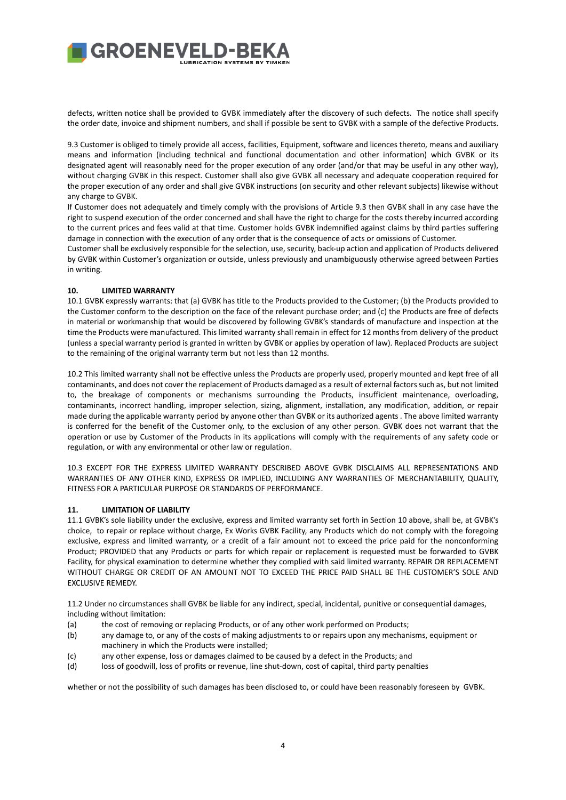# **GROENEVELD-BE**

defects, written notice shall be provided to GVBK immediately after the discovery of such defects. The notice shall specify the order date, invoice and shipment numbers, and shall if possible be sent to GVBK with a sample of the defective Products.

9.3 Customer is obliged to timely provide all access, facilities, Equipment, software and licences thereto, means and auxiliary means and information (including technical and functional documentation and other information) which GVBK or its designated agent will reasonably need for the proper execution of any order (and/or that may be useful in any other way), without charging GVBK in this respect. Customer shall also give GVBK all necessary and adequate cooperation required for the proper execution of any order and shall give GVBK instructions (on security and other relevant subjects) likewise without any charge to GVBK.

If Customer does not adequately and timely comply with the provisions of Article 9.3 then GVBK shall in any case have the right to suspend execution of the order concerned and shall have the right to charge for the costs thereby incurred according to the current prices and fees valid at that time. Customer holds GVBK indemnified against claims by third parties suffering damage in connection with the execution of any order that is the consequence of acts or omissions of Customer.

Customer shall be exclusively responsible for the selection, use, security, back-up action and application of Products delivered by GVBK within Customer's organization or outside, unless previously and unambiguously otherwise agreed between Parties in writing.

# **10. LIMITED WARRANTY**

10.1 GVBK expressly warrants: that (a) GVBK has title to the Products provided to the Customer; (b) the Products provided to the Customer conform to the description on the face of the relevant purchase order; and (c) the Products are free of defects in material or workmanship that would be discovered by following GVBK's standards of manufacture and inspection at the time the Products were manufactured. This limited warranty shall remain in effect for 12 months from delivery of the product (unless a special warranty period is granted in written by GVBK or applies by operation of law). Replaced Products are subject to the remaining of the original warranty term but not less than 12 months.

10.2 This limited warranty shall not be effective unless the Products are properly used, properly mounted and kept free of all contaminants, and does not cover the replacement of Products damaged as a result of external factors such as, but not limited to, the breakage of components or mechanisms surrounding the Products, insufficient maintenance, overloading, contaminants, incorrect handling, improper selection, sizing, alignment, installation, any modification, addition, or repair made during the applicable warranty period by anyone other than GVBK or its authorized agents . The above limited warranty is conferred for the benefit of the Customer only, to the exclusion of any other person. GVBK does not warrant that the operation or use by Customer of the Products in its applications will comply with the requirements of any safety code or regulation, or with any environmental or other law or regulation.

10.3 EXCEPT FOR THE EXPRESS LIMITED WARRANTY DESCRIBED ABOVE GVBK DISCLAIMS ALL REPRESENTATIONS AND WARRANTIES OF ANY OTHER KIND, EXPRESS OR IMPLIED, INCLUDING ANY WARRANTIES OF MERCHANTABILITY, QUALITY, FITNESS FOR A PARTICULAR PURPOSE OR STANDARDS OF PERFORMANCE.

# **11. LIMITATION OF LIABILITY**

11.1 GVBK's sole liability under the exclusive, express and limited warranty set forth in Section 10 above, shall be, at GVBK's choice, to repair or replace without charge, Ex Works GVBK Facility, any Products which do not comply with the foregoing exclusive, express and limited warranty, or a credit of a fair amount not to exceed the price paid for the nonconforming Product; PROVIDED that any Products or parts for which repair or replacement is requested must be forwarded to GVBK Facility, for physical examination to determine whether they complied with said limited warranty. REPAIR OR REPLACEMENT WITHOUT CHARGE OR CREDIT OF AN AMOUNT NOT TO EXCEED THE PRICE PAID SHALL BE THE CUSTOMER'S SOLE AND EXCLUSIVE REMEDY.

11.2 Under no circumstances shall GVBK be liable for any indirect, special, incidental, punitive or consequential damages, including without limitation:

- (a) the cost of removing or replacing Products, or of any other work performed on Products;
- (b) any damage to, or any of the costs of making adjustments to or repairs upon any mechanisms, equipment or machinery in which the Products were installed;
- (c) any other expense, loss or damages claimed to be caused by a defect in the Products; and
- (d) loss of goodwill, loss of profits or revenue, line shut-down, cost of capital, third party penalties

whether or not the possibility of such damages has been disclosed to, or could have been reasonably foreseen by GVBK.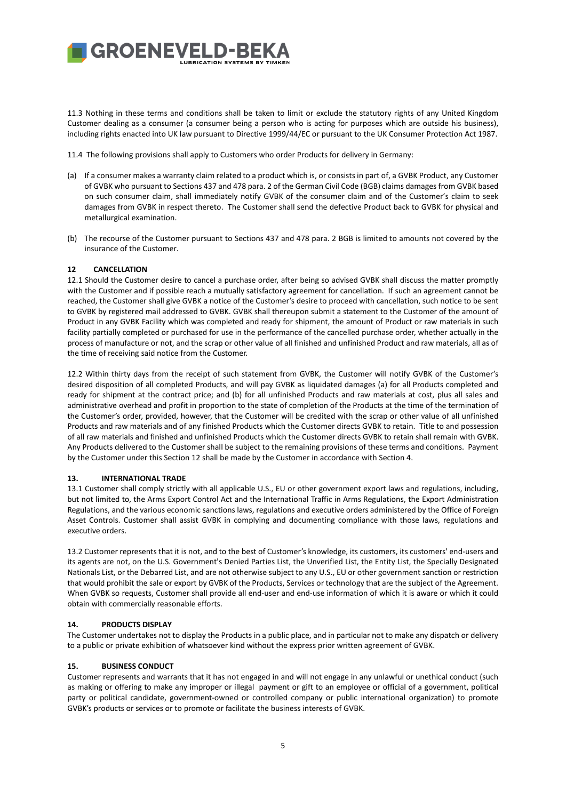11.3 Nothing in these terms and conditions shall be taken to limit or exclude the statutory rights of any United Kingdom Customer dealing as a consumer (a consumer being a person who is acting for purposes which are outside his business), including rights enacted into UK law pursuant to Directive 1999/44/EC or pursuant to the UK Consumer Protection Act 1987.

11.4 The following provisions shall apply to Customers who order Products for delivery in Germany:

**GROENEVELD-BE** 

- (a) If a consumer makes a warranty claim related to a product which is, or consists in part of, a GVBK Product, any Customer of GVBK who pursuant to Sections 437 and 478 para. 2 of the German Civil Code (BGB) claims damages from GVBK based on such consumer claim, shall immediately notify GVBK of the consumer claim and of the Customer's claim to seek damages from GVBK in respect thereto. The Customer shall send the defective Product back to GVBK for physical and metallurgical examination.
- (b) The recourse of the Customer pursuant to Sections 437 and 478 para. 2 BGB is limited to amounts not covered by the insurance of the Customer.

### **12 CANCELLATION**

12.1 Should the Customer desire to cancel a purchase order, after being so advised GVBK shall discuss the matter promptly with the Customer and if possible reach a mutually satisfactory agreement for cancellation. If such an agreement cannot be reached, the Customer shall give GVBK a notice of the Customer's desire to proceed with cancellation, such notice to be sent to GVBK by registered mail addressed to GVBK. GVBK shall thereupon submit a statement to the Customer of the amount of Product in any GVBK Facility which was completed and ready for shipment, the amount of Product or raw materials in such facility partially completed or purchased for use in the performance of the cancelled purchase order, whether actually in the process of manufacture or not, and the scrap or other value of all finished and unfinished Product and raw materials, all as of the time of receiving said notice from the Customer.

12.2 Within thirty days from the receipt of such statement from GVBK, the Customer will notify GVBK of the Customer's desired disposition of all completed Products, and will pay GVBK as liquidated damages (a) for all Products completed and ready for shipment at the contract price; and (b) for all unfinished Products and raw materials at cost, plus all sales and administrative overhead and profit in proportion to the state of completion of the Products at the time of the termination of the Customer's order, provided, however, that the Customer will be credited with the scrap or other value of all unfinished Products and raw materials and of any finished Products which the Customer directs GVBK to retain. Title to and possession of all raw materials and finished and unfinished Products which the Customer directs GVBK to retain shall remain with GVBK. Any Products delivered to the Customer shall be subject to the remaining provisions of these terms and conditions. Payment by the Customer under this Section 12 shall be made by the Customer in accordance with Section 4.

#### **13. INTERNATIONAL TRADE**

13.1 Customer shall comply strictly with all applicable U.S., EU or other government export laws and regulations, including, but not limited to, the Arms Export Control Act and the International Traffic in Arms Regulations, the Export Administration Regulations, and the various economic sanctions laws, regulations and executive orders administered by the Office of Foreign Asset Controls. Customer shall assist GVBK in complying and documenting compliance with those laws, regulations and executive orders.

13.2 Customer represents that it is not, and to the best of Customer's knowledge, its customers, its customers' end-users and its agents are not, on the U.S. Government's Denied Parties List, the Unverified List, the Entity List, the Specially Designated Nationals List, or the Debarred List, and are not otherwise subject to any U.S., EU or other government sanction or restriction that would prohibit the sale or export by GVBK of the Products, Services or technology that are the subject of the Agreement. When GVBK so requests, Customer shall provide all end-user and end-use information of which it is aware or which it could obtain with commercially reasonable efforts.

### **14. PRODUCTS DISPLAY**

The Customer undertakes not to display the Products in a public place, and in particular not to make any dispatch or delivery to a public or private exhibition of whatsoever kind without the express prior written agreement of GVBK.

#### **15. BUSINESS CONDUCT**

Customer represents and warrants that it has not engaged in and will not engage in any unlawful or unethical conduct (such as making or offering to make any improper or illegal payment or gift to an employee or official of a government, political party or political candidate, government-owned or controlled company or public international organization) to promote GVBK's products or services or to promote or facilitate the business interests of GVBK.